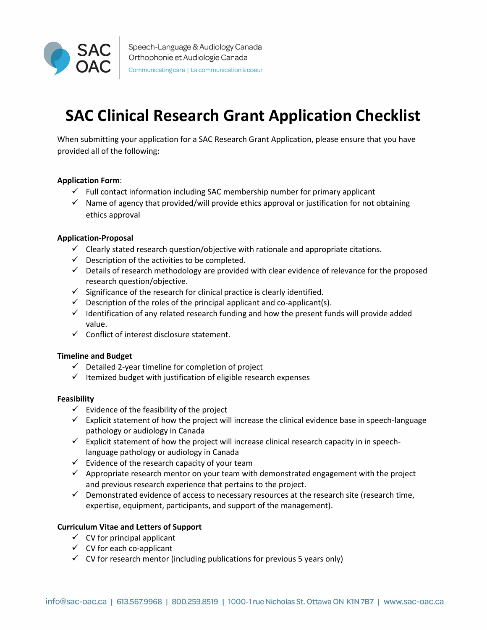

# **SAC Clinical Research Grant Application Checklist**

When submitting your application for a SAC Research Grant Application, please ensure that you have provided all of the following:

## **Application Form**:

- $\checkmark$  Full contact information including SAC membership number for primary applicant
- $\checkmark$  Name of agency that provided/will provide ethics approval or justification for not obtaining ethics approval

## **Application-Proposal**

- $\checkmark$  Clearly stated research question/objective with rationale and appropriate citations.
- $\checkmark$  Description of the activities to be completed.
- $\checkmark$  Details of research methodology are provided with clear evidence of relevance for the proposed research question/objective.
- $\checkmark$  Significance of the research for clinical practice is clearly identified.
- $\checkmark$  Description of the roles of the principal applicant and co-applicant(s).
- $\checkmark$  Identification of any related research funding and how the present funds will provide added value.
- $\checkmark$  Conflict of interest disclosure statement.

### **Timeline and Budget**

- $\checkmark$  Detailed 2-year timeline for completion of project
- $\checkmark$  Itemized budget with justification of eligible research expenses

### **Feasibility**

- $\checkmark$  Evidence of the feasibility of the project
- $\checkmark$  Explicit statement of how the project will increase the clinical evidence base in speech-language pathology or audiology in Canada
- $\checkmark$  Explicit statement of how the project will increase clinical research capacity in in speechlanguage pathology or audiology in Canada
- $\checkmark$  Evidence of the research capacity of your team
- $\checkmark$  Appropriate research mentor on your team with demonstrated engagement with the project and previous research experience that pertains to the project.
- $\checkmark$  Demonstrated evidence of access to necessary resources at the research site (research time, expertise, equipment, participants, and support of the management).

### **Curriculum Vitae and Letters of Support**

- $\checkmark$  CV for principal applicant
- $\checkmark$  CV for each co-applicant
- $\checkmark$  CV for research mentor (including publications for previous 5 years only)